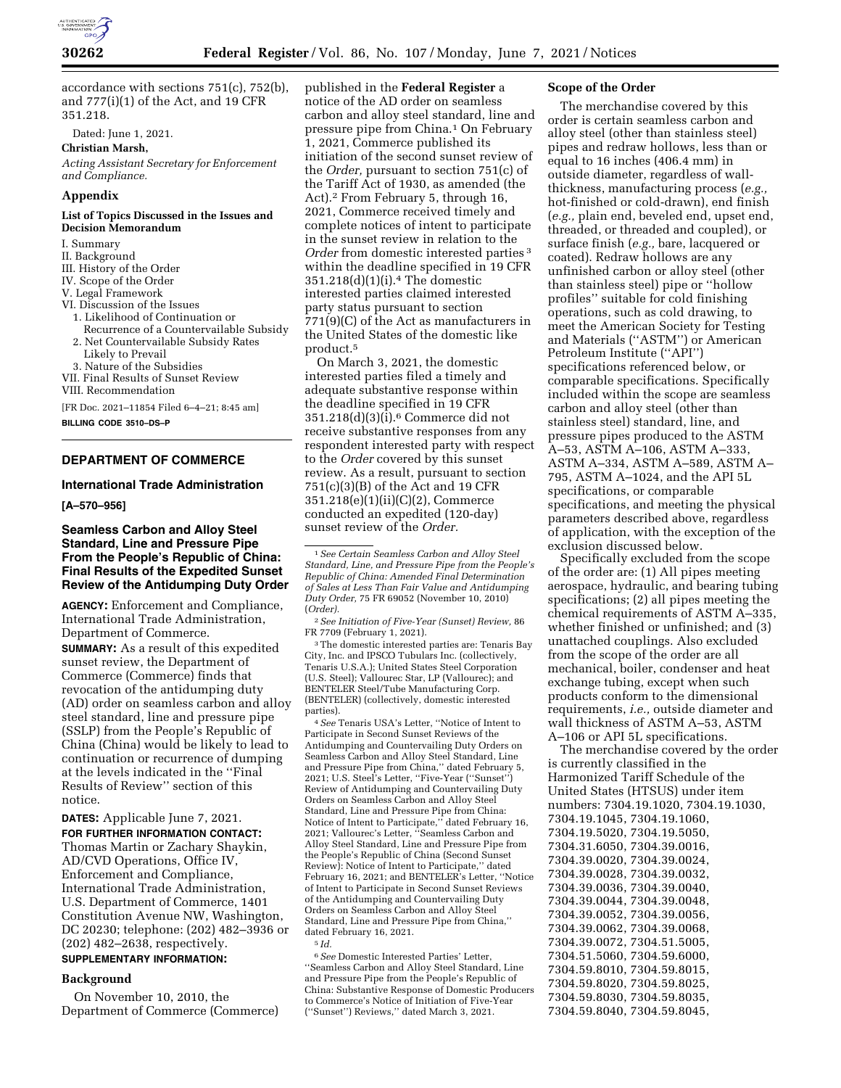

accordance with sections 751(c), 752(b), and 777(i)(1) of the Act, and 19 CFR 351.218.

Dated: June 1, 2021.

**Christian Marsh,** 

*Acting Assistant Secretary for Enforcement and Compliance.* 

## **Appendix**

#### **List of Topics Discussed in the Issues and Decision Memorandum**

- I. Summary
- II. Background
- III. History of the Order
- IV. Scope of the Order
- V. Legal Framework
- VI. Discussion of the Issues
- 1. Likelihood of Continuation or Recurrence of a Countervailable Subsidy
- 2. Net Countervailable Subsidy Rates Likely to Prevail
- 3. Nature of the Subsidies
- VII. Final Results of Sunset Review
- VIII. Recommendation

[FR Doc. 2021–11854 Filed 6–4–21; 8:45 am]

**BILLING CODE 3510–DS–P** 

# **DEPARTMENT OF COMMERCE**

#### **International Trade Administration**

**[A–570–956]** 

# **Seamless Carbon and Alloy Steel Standard, Line and Pressure Pipe From the People's Republic of China: Final Results of the Expedited Sunset Review of the Antidumping Duty Order**

**AGENCY:** Enforcement and Compliance, International Trade Administration, Department of Commerce.

**SUMMARY:** As a result of this expedited sunset review, the Department of Commerce (Commerce) finds that revocation of the antidumping duty (AD) order on seamless carbon and alloy steel standard, line and pressure pipe (SSLP) from the People's Republic of China (China) would be likely to lead to continuation or recurrence of dumping at the levels indicated in the ''Final Results of Review'' section of this notice.

**DATES:** Applicable June 7, 2021.

**FOR FURTHER INFORMATION CONTACT:**  Thomas Martin or Zachary Shaykin, AD/CVD Operations, Office IV, Enforcement and Compliance, International Trade Administration, U.S. Department of Commerce, 1401 Constitution Avenue NW, Washington, DC 20230; telephone: (202) 482–3936 or (202) 482–2638, respectively.

# **SUPPLEMENTARY INFORMATION:**

## **Background**

On November 10, 2010, the Department of Commerce (Commerce)

published in the **Federal Register** a notice of the AD order on seamless carbon and alloy steel standard, line and pressure pipe from China.1 On February 1, 2021, Commerce published its initiation of the second sunset review of the *Order,* pursuant to section 751(c) of the Tariff Act of 1930, as amended (the Act).2 From February 5, through 16, 2021, Commerce received timely and complete notices of intent to participate in the sunset review in relation to the *Order* from domestic interested parties 3 within the deadline specified in 19 CFR 351.218(d)(1)(i).4 The domestic interested parties claimed interested party status pursuant to section 771(9)(C) of the Act as manufacturers in the United States of the domestic like product.5

On March 3, 2021, the domestic interested parties filed a timely and adequate substantive response within the deadline specified in 19 CFR  $351.218(d)(3)(i).<sup>6</sup>$  Commerce did not receive substantive responses from any respondent interested party with respect to the *Order* covered by this sunset review. As a result, pursuant to section 751(c)(3)(B) of the Act and 19 CFR 351.218(e)(1)(ii)(C)(2), Commerce conducted an expedited (120-day) sunset review of the *Order.* 

2*See Initiation of Five-Year (Sunset) Review,* 86 FR 7709 (February 1, 2021).

3The domestic interested parties are: Tenaris Bay City, Inc. and IPSCO Tubulars Inc. (collectively, Tenaris U.S.A.); United States Steel Corporation (U.S. Steel); Vallourec Star, LP (Vallourec); and BENTELER Steel/Tube Manufacturing Corp. (BENTELER) (collectively, domestic interested parties).

4*See* Tenaris USA's Letter, ''Notice of Intent to Participate in Second Sunset Reviews of the Antidumping and Countervailing Duty Orders on Seamless Carbon and Alloy Steel Standard, Line and Pressure Pipe from China,'' dated February 5, 2021; U.S. Steel's Letter, ''Five-Year (''Sunset'') Review of Antidumping and Countervailing Duty Orders on Seamless Carbon and Alloy Steel Standard, Line and Pressure Pipe from China: Notice of Intent to Participate,'' dated February 16, 2021; Vallourec's Letter, ''Seamless Carbon and Alloy Steel Standard, Line and Pressure Pipe from the People's Republic of China (Second Sunset Review): Notice of Intent to Participate,'' dated February 16, 2021; and BENTELER's Letter, ''Notice of Intent to Participate in Second Sunset Reviews of the Antidumping and Countervailing Duty Orders on Seamless Carbon and Alloy Steel Standard, Line and Pressure Pipe from China,'' dated February 16, 2021.

5 *Id.* 

6*See* Domestic Interested Parties' Letter, ''Seamless Carbon and Alloy Steel Standard, Line and Pressure Pipe from the People's Republic of China: Substantive Response of Domestic Producers to Commerce's Notice of Initiation of Five-Year (''Sunset'') Reviews,'' dated March 3, 2021.

#### **Scope of the Order**

The merchandise covered by this order is certain seamless carbon and alloy steel (other than stainless steel) pipes and redraw hollows, less than or equal to 16 inches (406.4 mm) in outside diameter, regardless of wallthickness, manufacturing process (*e.g.,*  hot-finished or cold-drawn), end finish (*e.g.,* plain end, beveled end, upset end, threaded, or threaded and coupled), or surface finish (*e.g.,* bare, lacquered or coated). Redraw hollows are any unfinished carbon or alloy steel (other than stainless steel) pipe or ''hollow profiles'' suitable for cold finishing operations, such as cold drawing, to meet the American Society for Testing and Materials (''ASTM'') or American Petroleum Institute (''API'') specifications referenced below, or comparable specifications. Specifically included within the scope are seamless carbon and alloy steel (other than stainless steel) standard, line, and pressure pipes produced to the ASTM A–53, ASTM A–106, ASTM A–333, ASTM A–334, ASTM A–589, ASTM A– 795, ASTM A–1024, and the API 5L specifications, or comparable specifications, and meeting the physical parameters described above, regardless of application, with the exception of the exclusion discussed below.

Specifically excluded from the scope of the order are: (1) All pipes meeting aerospace, hydraulic, and bearing tubing specifications; (2) all pipes meeting the chemical requirements of ASTM A–335, whether finished or unfinished; and (3) unattached couplings. Also excluded from the scope of the order are all mechanical, boiler, condenser and heat exchange tubing, except when such products conform to the dimensional requirements, *i.e.,* outside diameter and wall thickness of ASTM A–53, ASTM A–106 or API 5L specifications.

The merchandise covered by the order is currently classified in the Harmonized Tariff Schedule of the United States (HTSUS) under item numbers: 7304.19.1020, 7304.19.1030, 7304.19.1045, 7304.19.1060, 7304.19.5020, 7304.19.5050, 7304.31.6050, 7304.39.0016, 7304.39.0020, 7304.39.0024, 7304.39.0028, 7304.39.0032, 7304.39.0036, 7304.39.0040, 7304.39.0044, 7304.39.0048, 7304.39.0052, 7304.39.0056, 7304.39.0062, 7304.39.0068, 7304.39.0072, 7304.51.5005, 7304.51.5060, 7304.59.6000, 7304.59.8010, 7304.59.8015, 7304.59.8020, 7304.59.8025, 7304.59.8030, 7304.59.8035, 7304.59.8040, 7304.59.8045,

<sup>1</sup>*See Certain Seamless Carbon and Alloy Steel Standard, Line, and Pressure Pipe from the People's Republic of China: Amended Final Determination of Sales at Less Than Fair Value and Antidumping Duty Order,* 75 FR 69052 (November 10, 2010) (*Order).*